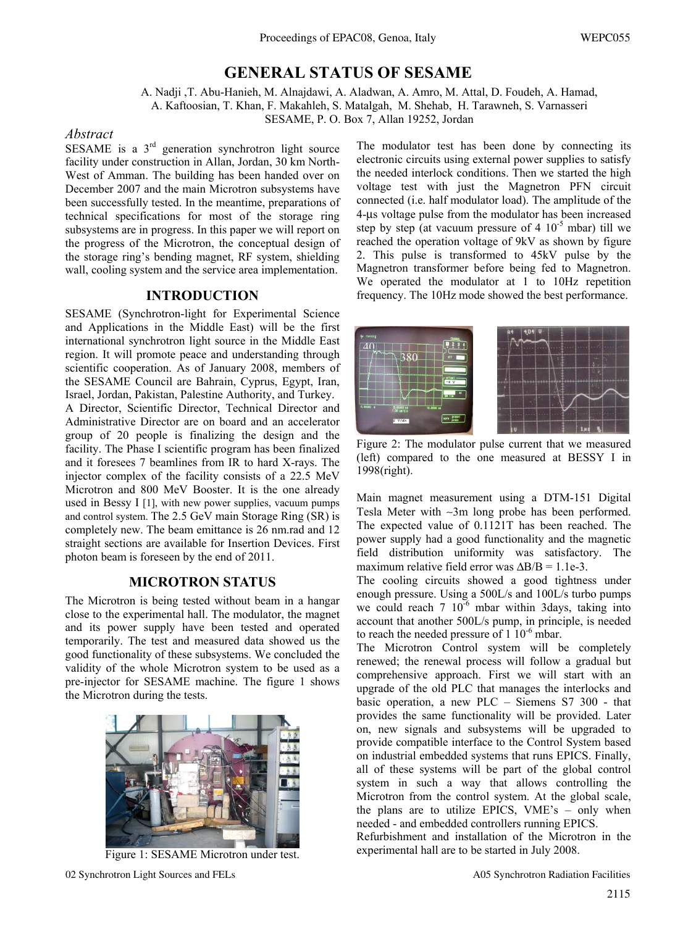# **GENERAL STATUS OF SESAME**

A. Nadji ,T. Abu-Hanieh, M. Alnajdawi, A. Aladwan, A. Amro, M. Attal, D. Foudeh, A. Hamad, A. Kaftoosian, T. Khan, F. Makahleh, S. Matalgah, M. Shehab, H. Tarawneh, S. Varnasseri

SESAME, P. O. Box 7, Allan 19252, Jordan

#### *Abstract*

SESAME is a  $3<sup>rd</sup>$  generation synchrotron light source facility under construction in Allan, Jordan, 30 km North-West of Amman. The building has been handed over on December 2007 and the main Microtron subsystems have been successfully tested. In the meantime, preparations of technical specifications for most of the storage ring subsystems are in progress. In this paper we will report on the progress of the Microtron, the conceptual design of the storage ring's bending magnet, RF system, shielding wall, cooling system and the service area implementation.

#### **INTRODUCTION**

SESAME (Synchrotron-light for Experimental Science and Applications in the Middle East) will be the first international synchrotron light source in the Middle East region. It will promote peace and understanding through scientific cooperation. As of January 2008, members of the SESAME Council are Bahrain, Cyprus, Egypt, Iran, Israel, Jordan, Pakistan, Palestine Authority, and Turkey. A Director, Scientific Director, Technical Director and Administrative Director are on board and an accelerator group of 20 people is finalizing the design and the facility. The Phase I scientific program has been finalized and it foresees 7 beamlines from IR to hard X-rays. The injector complex of the facility consists of a 22.5 MeV Microtron and 800 MeV Booster. It is the one already used in Bessy I [1], with new power supplies, vacuum pumps and control system. The 2.5 GeV main Storage Ring (SR) is completely new. The beam emittance is 26 nm.rad and 12 straight sections are available for Insertion Devices. First photon beam is foreseen by the end of 2011.

## **MICROTRON STATUS**

The Microtron is being tested without beam in a hangar close to the experimental hall. The modulator, the magnet and its power supply have been tested and operated temporarily. The test and measured data showed us the good functionality of these subsystems. We concluded the validity of the whole Microtron system to be used as a pre-injector for SESAME machine. The figure 1 shows the Microtron during the tests.



Figure 1: SESAME Microtron under test.

The modulator test has been done by connecting its electronic circuits using external power supplies to satisfy the needed interlock conditions. Then we started the high voltage test with just the Magnetron PFN circuit connected (i.e. half modulator load). The amplitude of the 4-μs voltage pulse from the modulator has been increased step by step (at vacuum pressure of  $4 \times 10^{-5}$  mbar) till we reached the operation voltage of 9kV as shown by figure 2. This pulse is transformed to 45kV pulse by the Magnetron transformer before being fed to Magnetron. We operated the modulator at 1 to 10Hz repetition frequency. The 10Hz mode showed the best performance.



Figure 2: The modulator pulse current that we measured (left) compared to the one measured at BESSY I in 1998(right).

Main magnet measurement using a DTM-151 Digital Tesla Meter with ∼3m long probe has been performed. The expected value of 0.1121T has been reached. The power supply had a good functionality and the magnetic field distribution uniformity was satisfactory. The maximum relative field error was  $\Delta B/B = 1.1e-3$ .

The cooling circuits showed a good tightness under enough pressure. Using a 500L/s and 100L/s turbo pumps we could reach  $7 \times 10^{-6}$  mbar within 3days, taking into account that another 500L/s pump, in principle, is needed to reach the needed pressure of  $1 \frac{10^{-6}}{6}$  mbar.

The Microtron Control system will be completely renewed; the renewal process will follow a gradual but comprehensive approach. First we will start with an upgrade of the old PLC that manages the interlocks and basic operation, a new PLC – Siemens S7 300 - that provides the same functionality will be provided. Later on, new signals and subsystems will be upgraded to provide compatible interface to the Control System based on industrial embedded systems that runs EPICS. Finally, all of these systems will be part of the global control system in such a way that allows controlling the Microtron from the control system. At the global scale, the plans are to utilize EPICS, VME's – only when needed - and embedded controllers running EPICS.

Refurbishment and installation of the Microtron in the experimental hall are to be started in July 2008.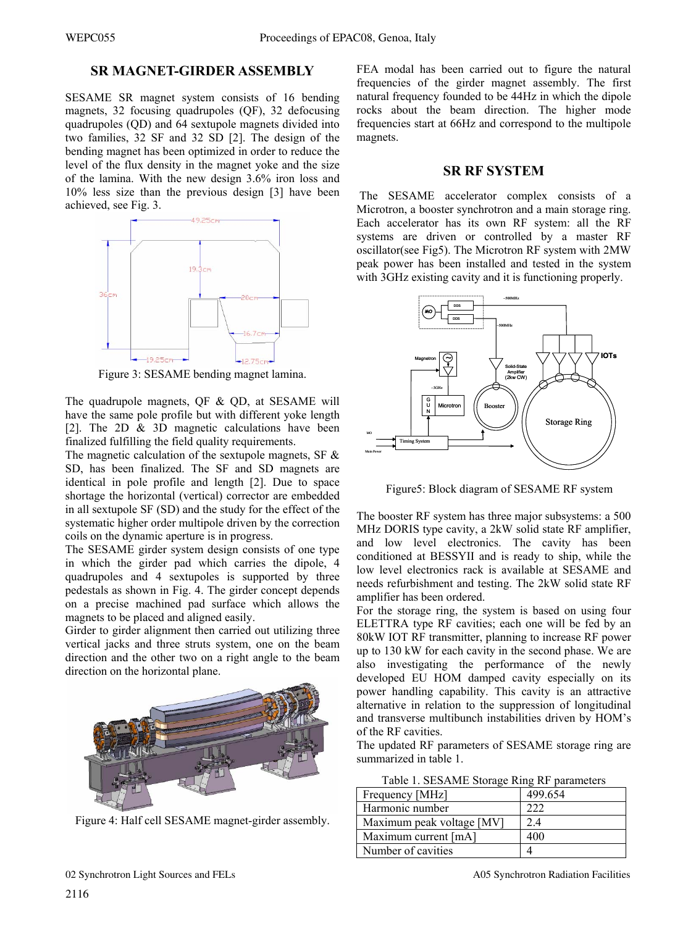#### **SR MAGNET-GIRDER ASSEMBLY**

SESAME SR magnet system consists of 16 bending magnets, 32 focusing quadrupoles (QF), 32 defocusing quadrupoles (QD) and 64 sextupole magnets divided into two families, 32 SF and 32 SD [2]. The design of the bending magnet has been optimized in order to reduce the level of the flux density in the magnet yoke and the size of the lamina. With the new design 3.6% iron loss and 10% less size than the previous design [3] have been achieved, see Fig. 3.



Figure 3: SESAME bending magnet lamina.

The quadrupole magnets, QF & QD, at SESAME will have the same pole profile but with different yoke length [2]. The 2D & 3D magnetic calculations have been finalized fulfilling the field quality requirements.

The magnetic calculation of the sextupole magnets, SF  $\&$ SD, has been finalized. The SF and SD magnets are identical in pole profile and length [2]. Due to space shortage the horizontal (vertical) corrector are embedded in all sextupole SF (SD) and the study for the effect of the systematic higher order multipole driven by the correction coils on the dynamic aperture is in progress.

The SESAME girder system design consists of one type in which the girder pad which carries the dipole, 4 quadrupoles and 4 sextupoles is supported by three pedestals as shown in Fig. 4. The girder concept depends on a precise machined pad surface which allows the magnets to be placed and aligned easily.

Girder to girder alignment then carried out utilizing three vertical jacks and three struts system, one on the beam direction and the other two on a right angle to the beam direction on the horizontal plane.



Figure 4: Half cell SESAME magnet-girder assembly.

FEA modal has been carried out to figure the natural frequencies of the girder magnet assembly. The first natural frequency founded to be 44Hz in which the dipole rocks about the beam direction. The higher mode frequencies start at 66Hz and correspond to the multipole magnets.

#### **SR RF SYSTEM**

 The SESAME accelerator complex consists of a Microtron, a booster synchrotron and a main storage ring. Each accelerator has its own RF system: all the RF systems are driven or controlled by a master RF oscillator(see Fig5). The Microtron RF system with 2MW peak power has been installed and tested in the system with 3GHz existing cavity and it is functioning properly.



Figure5: Block diagram of SESAME RF system

The booster RF system has three major subsystems: a 500 MHz DORIS type cavity, a 2kW solid state RF amplifier, and low level electronics. The cavity has been conditioned at BESSYII and is ready to ship, while the low level electronics rack is available at SESAME and needs refurbishment and testing. The 2kW solid state RF amplifier has been ordered.

For the storage ring, the system is based on using four ELETTRA type RF cavities; each one will be fed by an 80kW IOT RF transmitter, planning to increase RF power up to 130 kW for each cavity in the second phase. We are also investigating the performance of the newly developed EU HOM damped cavity especially on its power handling capability. This cavity is an attractive alternative in relation to the suppression of longitudinal and transverse multibunch instabilities driven by HOM's of the RF cavities.

The updated RF parameters of SESAME storage ring are summarized in table 1.

| Frequency [MHz]           | 499.654 |
|---------------------------|---------|
| Harmonic number           | 222     |
| Maximum peak voltage [MV] | 2.4     |
| Maximum current [mA]      | 400     |
| Number of cavities        |         |